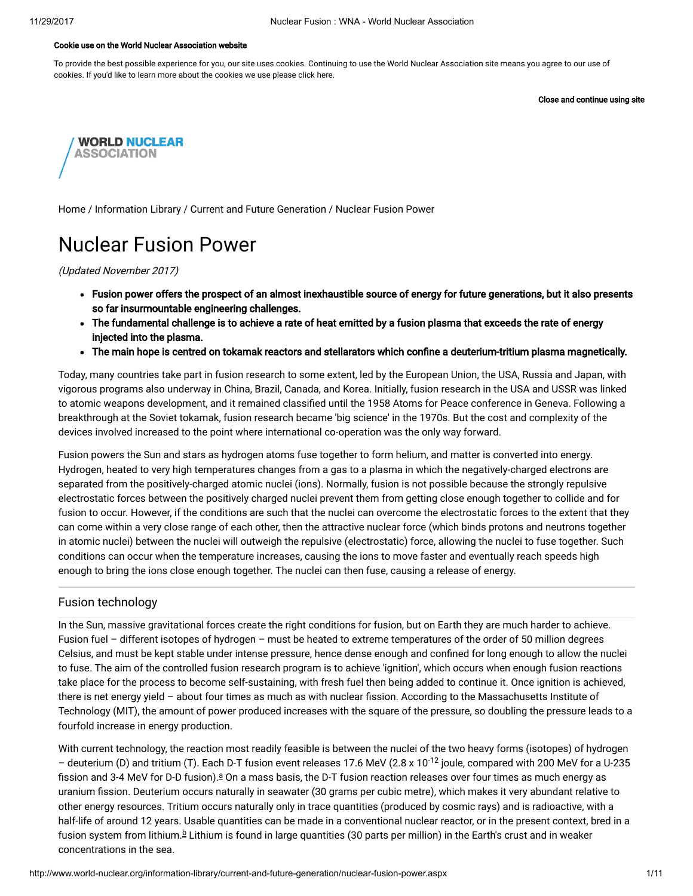#### Cookie use on the World Nuclear Association website

To provide the best possible experience for you, our site uses cookies. Continuing to use the World Nuclear Association site means you agree to our use of cookies. If you'd like to learn more about the cookies we use please click here.

Close and continue using site



[Home](http://www.world-nuclear.org/) / [Information](http://www.world-nuclear.org/information-library.aspx) Library / Current and Future [Generation](http://www.world-nuclear.org/information-library/current-and-future-generation.aspx) / Nuclear Fusion Power

# Nuclear Fusion Power

(Updated November 2017)

- Fusion power offers the prospect of an almost inexhaustible source of energy for future generations, but it also presents so far insurmountable engineering challenges.
- The fundamental challenge is to achieve a rate of heat emitted by a fusion plasma that exceeds the rate of energy injected into the plasma.
- The main hope is centred on tokamak reactors and stellarators which confine a deuterium-tritium plasma magnetically.

Today, many countries take part in fusion research to some extent, led by the European Union, the USA, Russia and Japan, with vigorous programs also underway in China, Brazil, Canada, and Korea. Initially, fusion research in the USA and USSR was linked to atomic weapons development, and it remained classified until the 1958 Atoms for Peace conference in Geneva. Following a breakthrough at the Soviet tokamak, fusion research became 'big science' in the 1970s. But the cost and complexity of the devices involved increased to the point where international co-operation was the only way forward.

Fusion powers the Sun and stars as hydrogen atoms fuse together to form helium, and matter is converted into energy. Hydrogen, heated to very high temperatures changes from a gas to a plasma in which the negatively-charged electrons are separated from the positively-charged atomic nuclei (ions). Normally, fusion is not possible because the strongly repulsive electrostatic forces between the positively charged nuclei prevent them from getting close enough together to collide and for fusion to occur. However, if the conditions are such that the nuclei can overcome the electrostatic forces to the extent that they can come within a very close range of each other, then the attractive nuclear force (which binds protons and neutrons together in atomic nuclei) between the nuclei will outweigh the repulsive (electrostatic) force, allowing the nuclei to fuse together. Such conditions can occur when the temperature increases, causing the ions to move faster and eventually reach speeds high enough to bring the ions close enough together. The nuclei can then fuse, causing a release of energy.

# Fusion technology

In the Sun, massive gravitational forces create the right conditions for fusion, but on Earth they are much harder to achieve. Fusion fuel – different isotopes of hydrogen – must be heated to extreme temperatures of the order of 50 million degrees Celsius, and must be kept stable under intense pressure, hence dense enough and confined for long enough to allow the nuclei to fuse. The aim of the controlled fusion research program is to achieve 'ignition', which occurs when enough fusion reactions take place for the process to become self-sustaining, with fresh fuel then being added to continue it. Once ignition is achieved, there is net energy yield - about four times as much as with nuclear fission. According to the Massachusetts Institute of Technology (MIT), the amount of power produced increases with the square of the pressure, so doubling the pressure leads to a fourfold increase in energy production.

<span id="page-0-1"></span><span id="page-0-0"></span>With current technology, the reaction most readily feasible is between the nuclei of the two heavy forms (isotopes) of hydrogen – deuterium (D) and tritium (T). Each D-T fusion event releases 17.6 MeV (2.8 x 10<sup>-12</sup> joule, compared with 200 MeV for a U-235 fission [a](#page-8-0)nd 3-4 MeV for D-D fusion). $a$  On a mass basis, the D-T fusion reaction releases over four times as much energy as uranium fission. Deuterium occurs naturally in seawater (30 grams per cubic metre), which makes it very abundant relative to other energy resources. Tritium occurs naturally only in trace quantities (produced by cosmic rays) and is radioactive, with a half-life of around 12 years. Usable quantities can be made in a conventional nuclear reactor, or in the present context, bred in a fusion system from lithium.<sup>[b](#page-8-0)</sup> Lithium is found in large quantities (30 parts per million) in the Earth's crust and in weaker concentrations in the sea.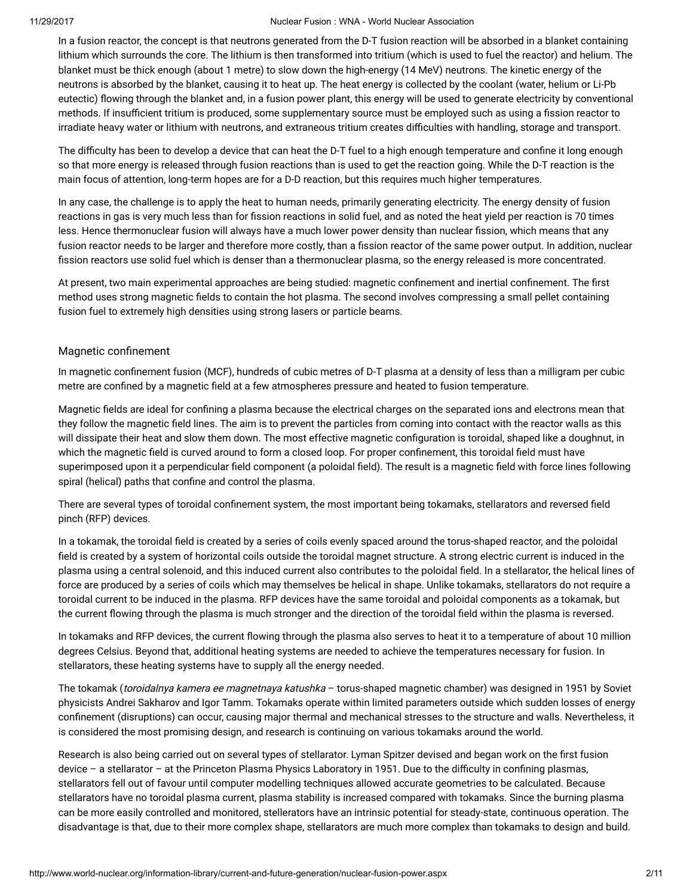In a fusion reactor, the concept is that neutrons generated from the D-T fusion reaction will be absorbed in a blanket containing lithium which surrounds the core. The lithium is then transformed into tritium (which is used to fuel the reactor) and helium. The blanket must be thick enough (about 1 metre) to slow down the high-energy (14 MeV) neutrons. The kinetic energy of the neutrons is absorbed by the blanket, causing it to heat up. The heat energy is collected by the coolant (water, helium or Li-Pb eutectic) flowing through the blanket and, in a fusion power plant, this energy will be used to generate electricity by conventional methods. If insufficient tritium is produced, some supplementary source must be employed such as using a fission reactor to irradiate heavy water or lithium with neutrons, and extraneous tritium creates difficulties with handling, storage and transport.

The difficulty has been to develop a device that can heat the D-T fuel to a high enough temperature and confine it long enough so that more energy is released through fusion reactions than is used to get the reaction going. While the D-T reaction is the main focus of attention, long-term hopes are for a D-D reaction, but this requires much higher temperatures.

In any case, the challenge is to apply the heat to human needs, primarily generating electricity. The energy density of fusion reactions in gas is very much less than for fission reactions in solid fuel, and as noted the heat yield per reaction is 70 times less. Hence thermonuclear fusion will always have a much lower power density than nuclear fission, which means that any fusion reactor needs to be larger and therefore more costly, than a fission reactor of the same power output. In addition, nuclear fission reactors use solid fuel which is denser than a thermonuclear plasma, so the energy released is more concentrated.

At present, two main experimental approaches are being studied: magnetic confinement and inertial confinement. The first method uses strong magnetic fields to contain the hot plasma. The second involves compressing a small pellet containing fusion fuel to extremely high densities using strong lasers or particle beams.

# Magnetic confinement

In magnetic confinement fusion (MCF), hundreds of cubic metres of D-T plasma at a density of less than a milligram per cubic metre are confined by a magnetic field at a few atmospheres pressure and heated to fusion temperature.

Magnetic fields are ideal for confining a plasma because the electrical charges on the separated ions and electrons mean that they follow the magnetic field lines. The aim is to prevent the particles from coming into contact with the reactor walls as this will dissipate their heat and slow them down. The most effective magnetic configuration is toroidal, shaped like a doughnut, in which the magnetic field is curved around to form a closed loop. For proper confinement, this toroidal field must have superimposed upon it a perpendicular field component (a poloidal field). The result is a magnetic field with force lines following spiral (helical) paths that confine and control the plasma.

There are several types of toroidal confinement system, the most important being tokamaks, stellarators and reversed field pinch (RFP) devices.

In a tokamak, the toroidal field is created by a series of coils evenly spaced around the torus-shaped reactor, and the poloidal field is created by a system of horizontal coils outside the toroidal magnet structure. A strong electric current is induced in the plasma using a central solenoid, and this induced current also contributes to the poloidal field. In a stellarator, the helical lines of force are produced by a series of coils which may themselves be helical in shape. Unlike tokamaks, stellarators do not require a toroidal current to be induced in the plasma. RFP devices have the same toroidal and poloidal components as a tokamak, but the current flowing through the plasma is much stronger and the direction of the toroidal field within the plasma is reversed.

In tokamaks and RFP devices, the current flowing through the plasma also serves to heat it to a temperature of about 10 million degrees Celsius. Beyond that, additional heating systems are needed to achieve the temperatures necessary for fusion. In stellarators, these heating systems have to supply all the energy needed.

The tokamak (toroidalnya kamera ee magnetnaya katushka - torus-shaped magnetic chamber) was designed in 1951 by Soviet physicists Andrei Sakharov and Igor Tamm. Tokamaks operate within limited parameters outside which sudden losses of energy confinement (disruptions) can occur, causing major thermal and mechanical stresses to the structure and walls. Nevertheless, it is considered the most promising design, and research is continuing on various tokamaks around the world.

Research is also being carried out on several types of stellarator. Lyman Spitzer devised and began work on the first fusion device – a stellarator – at the Princeton Plasma Physics Laboratory in 1951. Due to the difficulty in confining plasmas, stellarators fell out of favour until computer modelling techniques allowed accurate geometries to be calculated. Because stellarators have no toroidal plasma current, plasma stability is increased compared with tokamaks. Since the burning plasma can be more easily controlled and monitored, stellerators have an intrinsic potential for steady-state, continuous operation. The disadvantage is that, due to their more complex shape, stellarators are much more complex than tokamaks to design and build.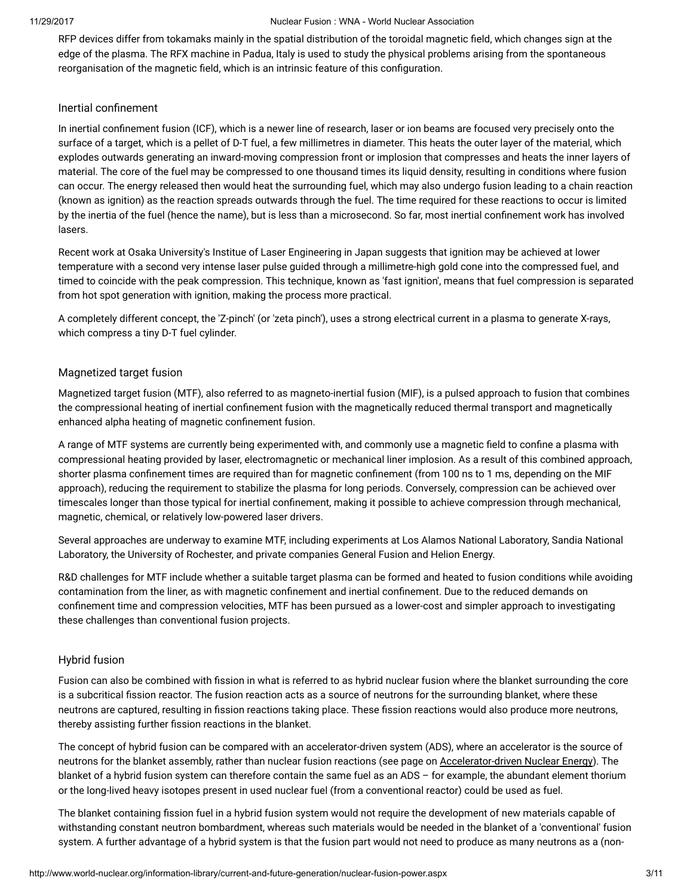RFP devices differ from tokamaks mainly in the spatial distribution of the toroidal magnetic field, which changes sign at the edge of the plasma. The RFX machine in Padua, Italy is used to study the physical problems arising from the spontaneous reorganisation of the magnetic field, which is an intrinsic feature of this configuration.

# Inertial confinement

In inertial confinement fusion (ICF), which is a newer line of research, laser or ion beams are focused very precisely onto the surface of a target, which is a pellet of D-T fuel, a few millimetres in diameter. This heats the outer layer of the material, which explodes outwards generating an inward-moving compression front or implosion that compresses and heats the inner layers of material. The core of the fuel may be compressed to one thousand times its liquid density, resulting in conditions where fusion can occur. The energy released then would heat the surrounding fuel, which may also undergo fusion leading to a chain reaction (known as ignition) as the reaction spreads outwards through the fuel. The time required for these reactions to occur is limited by the inertia of the fuel (hence the name), but is less than a microsecond. So far, most inertial confinement work has involved lasers.

Recent work at Osaka University's Institue of Laser Engineering in Japan suggests that ignition may be achieved at lower temperature with a second very intense laser pulse guided through a millimetre-high gold cone into the compressed fuel, and timed to coincide with the peak compression. This technique, known as 'fast ignition', means that fuel compression is separated from hot spot generation with ignition, making the process more practical.

A completely different concept, the 'Z-pinch' (or 'zeta pinch'), uses a strong electrical current in a plasma to generate X-rays, which compress a tiny D-T fuel cylinder.

# Magnetized target fusion

Magnetized target fusion (MTF), also referred to as magneto-inertial fusion (MIF), is a pulsed approach to fusion that combines the compressional heating of inertial confinement fusion with the magnetically reduced thermal transport and magnetically enhanced alpha heating of magnetic confinement fusion.

A range of MTF systems are currently being experimented with, and commonly use a magnetic field to confine a plasma with compressional heating provided by laser, electromagnetic or mechanical liner implosion. As a result of this combined approach, shorter plasma confinement times are required than for magnetic confinement (from 100 ns to 1 ms, depending on the MIF approach), reducing the requirement to stabilize the plasma for long periods. Conversely, compression can be achieved over timescales longer than those typical for inertial confinement, making it possible to achieve compression through mechanical, magnetic, chemical, or relatively low-powered laser drivers.

Several approaches are underway to examine MTF, including experiments at Los Alamos National Laboratory, Sandia National Laboratory, the University of Rochester, and private companies General Fusion and Helion Energy.

R&D challenges for MTF include whether a suitable target plasma can be formed and heated to fusion conditions while avoiding contamination from the liner, as with magnetic confinement and inertial confinement. Due to the reduced demands on confinement time and compression velocities, MTF has been pursued as a lower-cost and simpler approach to investigating these challenges than conventional fusion projects.

# Hybrid fusion

Fusion can also be combined with fission in what is referred to as hybrid nuclear fusion where the blanket surrounding the core is a subcritical fission reactor. The fusion reaction acts as a source of neutrons for the surrounding blanket, where these neutrons are captured, resulting in fission reactions taking place. These fission reactions would also produce more neutrons, thereby assisting further fission reactions in the blanket.

The concept of hybrid fusion can be compared with an accelerator-driven system (ADS), where an accelerator is the source of neutrons for the blanket assembly, rather than nuclear fusion reactions (see page on [Accelerator-driven](http://www.world-nuclear.org/information-library/current-and-future-generation/accelerator-driven-nuclear-energy.aspx) Nuclear Energy). The blanket of a hybrid fusion system can therefore contain the same fuel as an ADS – for example, the abundant element thorium or the long-lived heavy isotopes present in used nuclear fuel (from a conventional reactor) could be used as fuel.

The blanket containing fission fuel in a hybrid fusion system would not require the development of new materials capable of withstanding constant neutron bombardment, whereas such materials would be needed in the blanket of a 'conventional' fusion system. A further advantage of a hybrid system is that the fusion part would not need to produce as many neutrons as a (non-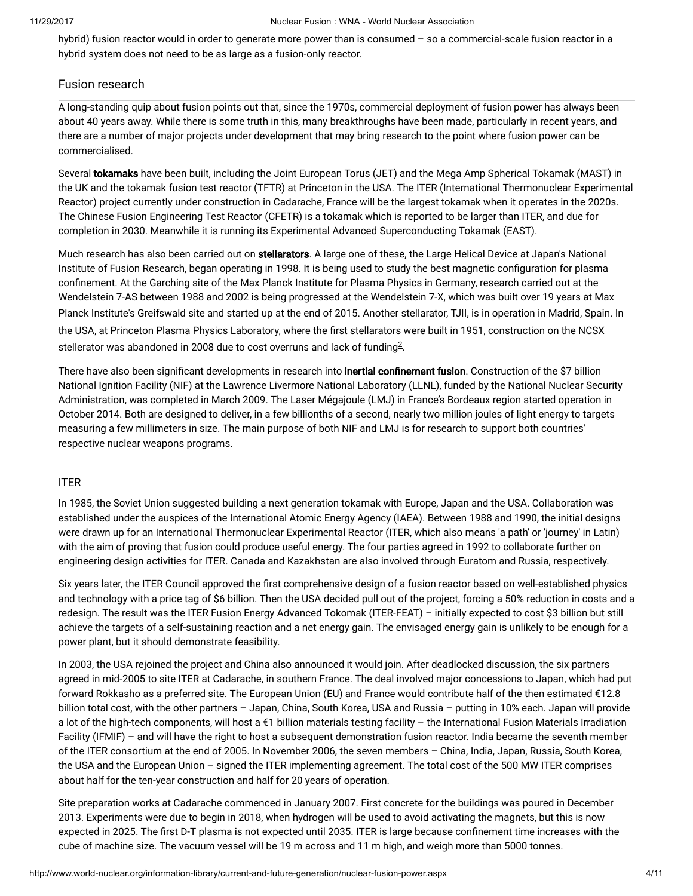hybrid) fusion reactor would in order to generate more power than is consumed – so a commercial-scale fusion reactor in a hybrid system does not need to be as large as a fusion-only reactor.

# Fusion research

A long-standing quip about fusion points out that, since the 1970s, commercial deployment of fusion power has always been about 40 years away. While there is some truth in this, many breakthroughs have been made, particularly in recent years, and there are a number of major projects under development that may bring research to the point where fusion power can be commercialised.

Several tokamaks have been built, including the Joint European Torus (JET) and the Mega Amp Spherical Tokamak (MAST) in the UK and the tokamak fusion test reactor (TFTR) at Princeton in the USA. The ITER (International Thermonuclear Experimental Reactor) project currently under construction in Cadarache, France will be the largest tokamak when it operates in the 2020s. The Chinese Fusion Engineering Test Reactor (CFETR) is a tokamak which is reported to be larger than ITER, and due for completion in 2030. Meanwhile it is running its Experimental Advanced Superconducting Tokamak (EAST).

Much research has also been carried out on stellarators. A large one of these, the Large Helical Device at Japan's National Institute of Fusion Research, began operating in 1998. It is being used to study the best magnetic configuration for plasma confinement. At the Garching site of the Max Planck Institute for Plasma Physics in Germany, research carried out at the Wendelstein 7-AS between 1988 and 2002 is being progressed at the Wendelstein 7-X, which was built over 19 years at Max Planck Institute's Greifswald site and started up at the end of 2015. Another stellarator, TJII, is in operation in Madrid, Spain. In the USA, at Princeton Plasma Physics Laboratory, where the first stellarators were built in 1951, construction on the NCSX stellerator was abandoned in [2](#page-9-0)008 due to cost overruns and lack of funding $^{2}$ .

<span id="page-3-0"></span>There have also been significant developments in research into inertial confinement fusion. Construction of the \$7 billion National Ignition Facility (NIF) at the Lawrence Livermore National Laboratory (LLNL), funded by the National Nuclear Security Administration, was completed in March 2009. The Laser Mégajoule (LMJ) in France's Bordeaux region started operation in October 2014. Both are designed to deliver, in a few billionths of a second, nearly two million joules of light energy to targets measuring a few millimeters in size. The main purpose of both NIF and LMJ is for research to support both countries' respective nuclear weapons programs.

# ITER

In 1985, the Soviet Union suggested building a next generation tokamak with Europe, Japan and the USA. Collaboration was established under the auspices of the International Atomic Energy Agency (IAEA). Between 1988 and 1990, the initial designs were drawn up for an International Thermonuclear Experimental Reactor (ITER, which also means 'a path' or 'journey' in Latin) with the aim of proving that fusion could produce useful energy. The four parties agreed in 1992 to collaborate further on engineering design activities for ITER. Canada and Kazakhstan are also involved through Euratom and Russia, respectively.

Six years later, the ITER Council approved the first comprehensive design of a fusion reactor based on well-established physics and technology with a price tag of \$6 billion. Then the USA decided pull out of the project, forcing a 50% reduction in costs and a redesign. The result was the ITER Fusion Energy Advanced Tokomak (ITER-FEAT) – initially expected to cost \$3 billion but still achieve the targets of a self-sustaining reaction and a net energy gain. The envisaged energy gain is unlikely to be enough for a power plant, but it should demonstrate feasibility.

In 2003, the USA rejoined the project and China also announced it would join. After deadlocked discussion, the six partners agreed in mid-2005 to site ITER at Cadarache, in southern France. The deal involved major concessions to Japan, which had put forward Rokkasho as a preferred site. The European Union (EU) and France would contribute half of the then estimated €12.8 billion total cost, with the other partners – Japan, China, South Korea, USA and Russia – putting in 10% each. Japan will provide a lot of the high-tech components, will host a €1 billion materials testing facility – the International Fusion Materials Irradiation Facility (IFMIF) – and will have the right to host a subsequent demonstration fusion reactor. India became the seventh member of the ITER consortium at the end of 2005. In November 2006, the seven members – China, India, Japan, Russia, South Korea, the USA and the European Union – signed the ITER implementing agreement. The total cost of the 500 MW ITER comprises about half for the ten-year construction and half for 20 years of operation.

Site preparation works at Cadarache commenced in January 2007. First concrete for the buildings was poured in December 2013. Experiments were due to begin in 2018, when hydrogen will be used to avoid activating the magnets, but this is now expected in 2025. The first D-T plasma is not expected until 2035. ITER is large because confinement time increases with the cube of machine size. The vacuum vessel will be 19 m across and 11 m high, and weigh more than 5000 tonnes.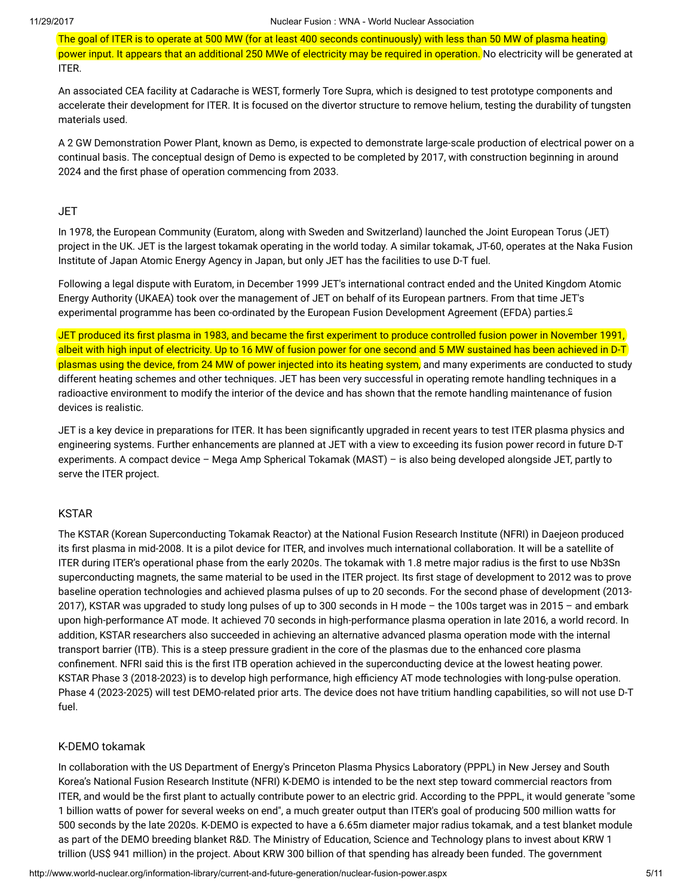The goal of ITER is to operate at 500 MW (for at least 400 seconds continuously) with less than 50 MW of plasma heating power input. It appears that an additional 250 MWe of electricity may be required in operation. No electricity will be generated at ITER.

An associated CEA facility at Cadarache is WEST, formerly Tore Supra, which is designed to test prototype components and accelerate their development for ITER. It is focused on the divertor structure to remove helium, testing the durability of tungsten materials used.

A 2 GW Demonstration Power Plant, known as Demo, is expected to demonstrate large-scale production of electrical power on a continual basis. The conceptual design of Demo is expected to be completed by 2017, with construction beginning in around 2024 and the first phase of operation commencing from 2033.

# JET

In 1978, the European Community (Euratom, along with Sweden and Switzerland) launched the Joint European Torus (JET) project in the UK. JET is the largest tokamak operating in the world today. A similar tokamak, JT-60, operates at the Naka Fusion Institute of Japan Atomic Energy Agency in Japan, but only JET has the facilities to use D-T fuel.

<span id="page-4-0"></span>Following a legal dispute with Euratom, in December 1999 JET's international contract ended and the United Kingdom Atomic Energy Authority (UKAEA) took over the management of JET on behalf of its European partners. From that time JET's experimental programme has been co-ordinated by the European Fusion Development Agreement (EFDA) parties. [c](#page-8-0)

JET produced its first plasma in 1983, and became the first experiment to produce controlled fusion power in November 1991, albeit with high input of electricity. Up to 16 MW of fusion power for one second and 5 MW sustained has been achieved in D-T plasmas using the device, from 24 MW of power injected into its heating system, and many experiments are conducted to study different heating schemes and other techniques. JET has been very successful in operating remote handling techniques in a radioactive environment to modify the interior of the device and has shown that the remote handling maintenance of fusion devices is realistic.

JET is a key device in preparations for ITER. It has been significantly upgraded in recent years to test ITER plasma physics and engineering systems. Further enhancements are planned at JET with a view to exceeding its fusion power record in future D-T experiments. A compact device – Mega Amp Spherical Tokamak (MAST) – is also being developed alongside JET, partly to serve the ITER project.

# KSTAR

The KSTAR (Korean Superconducting Tokamak Reactor) at the National Fusion Research Institute (NFRI) in Daejeon produced its first plasma in mid-2008. It is a pilot device for ITER, and involves much international collaboration. It will be a satellite of ITER during ITER's operational phase from the early 2020s. The tokamak with 1.8 metre major radius is the first to use Nb3Sn superconducting magnets, the same material to be used in the ITER project. Its first stage of development to 2012 was to prove baseline operation technologies and achieved plasma pulses of up to 20 seconds. For the second phase of development (2013- 2017), KSTAR was upgraded to study long pulses of up to 300 seconds in H mode – the 100s target was in 2015 – and embark upon high-performance AT mode. It achieved 70 seconds in high-performance plasma operation in late 2016, a world record. In addition, KSTAR researchers also succeeded in achieving an alternative advanced plasma operation mode with the internal transport barrier (ITB). This is a steep pressure gradient in the core of the plasmas due to the enhanced core plasma confinement. NFRI said this is the first ITB operation achieved in the superconducting device at the lowest heating power. KSTAR Phase 3 (2018-2023) is to develop high performance, high efficiency AT mode technologies with long-pulse operation. Phase 4 (2023-2025) will test DEMO-related prior arts. The device does not have tritium handling capabilities, so will not use D-T fuel.

# K-DEMO tokamak

In collaboration with the US Department of Energy's Princeton Plasma Physics Laboratory (PPPL) in New Jersey and South Korea's National Fusion Research Institute (NFRI) K-DEMO is intended to be the next step toward commercial reactors from ITER, and would be the first plant to actually contribute power to an electric grid. According to the PPPL, it would generate "some 1 billion watts of power for several weeks on end", a much greater output than ITER's goal of producing 500 million watts for 500 seconds by the late 2020s. K-DEMO is expected to have a 6.65m diameter major radius tokamak, and a test blanket module as part of the DEMO breeding blanket R&D. The Ministry of Education, Science and Technology plans to invest about KRW 1 trillion (US\$ 941 million) in the project. About KRW 300 billion of that spending has already been funded. The government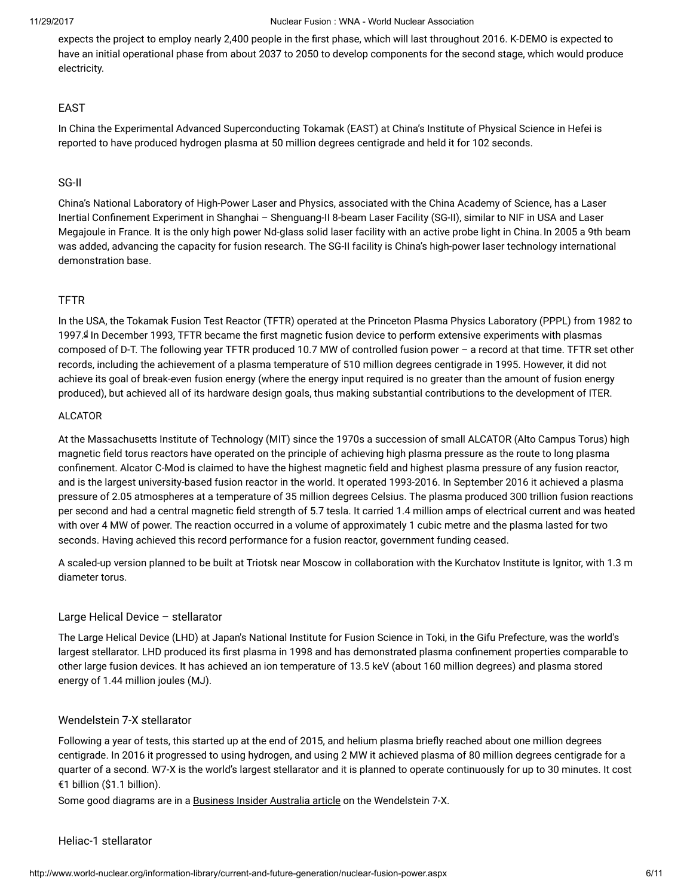expects the project to employ nearly 2,400 people in the first phase, which will last throughout 2016. K-DEMO is expected to have an initial operational phase from about 2037 to 2050 to develop components for the second stage, which would produce electricity.

# EAST

In China the Experimental Advanced Superconducting Tokamak (EAST) at China's Institute of Physical Science in Hefei is reported to have produced hydrogen plasma at 50 million degrees centigrade and held it for 102 seconds.

# SG-II

China's National Laboratory of High-Power Laser and Physics, associated with the China Academy of Science, has a Laser Inertial Confinement Experiment in Shanghai - Shenguang-II 8-beam Laser Facility (SG-II), similar to NIF in USA and Laser Megajoule in France. It is the only high power Nd-glass solid laser facility with an active probe light in China. In 2005 a 9th beam was added, advancing the capacity for fusion research. The SG-II facility is China's high-power laser technology international demonstration base.

# TFTR

<span id="page-5-0"></span>In the USA, the Tokamak Fusion Test Reactor (TFTR) operated at the Princeton Plasma Physics Laboratory (PPPL) from 1982 to 1997.ª In December 1993, TFTR became the first magnetic fusion [d](#page-8-0)evice to perform extensive experiments with plasmas composed of D-T. The following year TFTR produced 10.7 MW of controlled fusion power – a record at that time. TFTR set other records, including the achievement of a plasma temperature of 510 million degrees centigrade in 1995. However, it did not achieve its goal of break-even fusion energy (where the energy input required is no greater than the amount of fusion energy produced), but achieved all of its hardware design goals, thus making substantial contributions to the development of ITER.

# ALCATOR

At the Massachusetts Institute of Technology (MIT) since the 1970s a succession of small ALCATOR (Alto Campus Torus) high magnetic field torus reactors have operated on the principle of achieving high plasma pressure as the route to long plasma confinement. Alcator C-Mod is claimed to have the highest magnetic field and highest plasma pressure of any fusion reactor, and is the largest university-based fusion reactor in the world. It operated 1993-2016. In September 2016 it achieved a plasma pressure of 2.05 atmospheres at a temperature of 35 million degrees Celsius. The plasma produced 300 trillion fusion reactions per second and had a central magnetic field strength of 5.7 tesla. It carried 1.4 million amps of electrical current and was heated with over 4 MW of power. The reaction occurred in a volume of approximately 1 cubic metre and the plasma lasted for two seconds. Having achieved this record performance for a fusion reactor, government funding ceased.

A scaled-up version planned to be built at Triotsk near Moscow in collaboration with the Kurchatov Institute is Ignitor, with 1.3 m diameter torus.

# Large Helical Device – stellarator

The Large Helical Device (LHD) at Japan's National Institute for Fusion Science in Toki, in the Gifu Prefecture, was the world's largest stellarator. LHD produced its first plasma in 1998 and has demonstrated plasma confinement properties comparable to other large fusion devices. It has achieved an ion temperature of 13.5 keV (about 160 million degrees) and plasma stored energy of 1.44 million joules (MJ).

# Wendelstein 7-X stellarator

Following a year of tests, this started up at the end of 2015, and helium plasma briefly reached about one million degrees centigrade. In 2016 it progressed to using hydrogen, and using 2 MW it achieved plasma of 80 million degrees centigrade for a quarter of a second. W7-X is the world's largest stellarator and it is planned to operate continuously for up to 30 minutes. It cost €1 billion (\$1.1 billion).

Some good diagrams are in a [Business](http://www.businessinsider.com.au/germany-is-turning-on-its-monster-stellarator-2015-10) Insider Australia article on the Wendelstein 7-X.

# Heliac-1 stellarator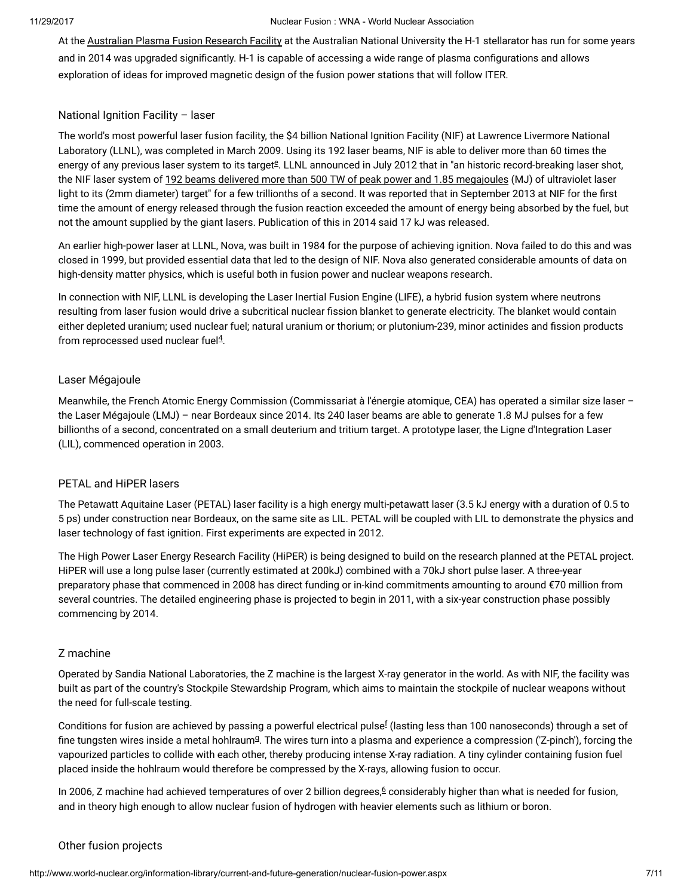At the [Australian](http://apfrf.anu.edu.au/) Plasma Fusion Research Facility at the Australian National University the H-1 stellarator has run for some years and in 2014 was upgraded significantly. H-1 is capable of accessing a wide range of plasma configurations and allows exploration of ideas for improved magnetic design of the fusion power stations that will follow ITER.

# National Ignition Facility – laser

<span id="page-6-0"></span>The world's most powerful laser fusion facility, the \$4 billion National Ignition Facility (NIF) at Lawrence Livermore National Laboratory (LLNL), was completed in March 2009. Using its 192 laser beams, NIF is able to deliver more than 60 times the [e](#page-8-0)nergy of any previous laser system to its target<sup>g</sup>. LLNL announced in July 2012 that in "an historic record-breaking laser shot, the NIF laser system of 192 beams delivered more than 500 TW of peak power and 1.85 [megajoules](https://www.llnl.gov/news/newsreleases/2012/Jul/NR-12-07-01.html) (MJ) of ultraviolet laser light to its (2mm diameter) target" for a few trillionths of a second. It was reported that in September 2013 at NIF for the first time the amount of energy released through the fusion reaction exceeded the amount of energy being absorbed by the fuel, but not the amount supplied by the giant lasers. Publication of this in 2014 said 17 kJ was released.

An earlier high-power laser at LLNL, Nova, was built in 1984 for the purpose of achieving ignition. Nova failed to do this and was closed in 1999, but provided essential data that led to the design of NIF. Nova also generated considerable amounts of data on high-density matter physics, which is useful both in fusion power and nuclear weapons research.

In connection with NIF, LLNL is developing the Laser Inertial Fusion Engine (LIFE), a hybrid fusion system where neutrons resulting from laser fusion would drive a subcritical nuclear fission blanket to generate electricity. The blanket would contain either depleted uranium; used nuclear fuel; natural uranium or thorium; or plutonium-239, minor actinides and fission products from reprocessed used nuclear fuel $4$ .

# <span id="page-6-3"></span>Laser Mégajoule

Meanwhile, the French Atomic Energy Commission (Commissariat à l'énergie atomique, CEA) has operated a similar size laser – the Laser Mégajoule (LMJ) – near Bordeaux since 2014. Its 240 laser beams are able to generate 1.8 MJ pulses for a few billionths of a second, concentrated on a small deuterium and tritium target. A prototype laser, the Ligne d'Integration Laser (LIL), commenced operation in 2003.

# PETAL and HiPER lasers

The Petawatt Aquitaine Laser (PETAL) laser facility is a high energy multi-petawatt laser (3.5 kJ energy with a duration of 0.5 to 5 ps) under construction near Bordeaux, on the same site as LIL. PETAL will be coupled with LIL to demonstrate the physics and laser technology of fast ignition. First experiments are expected in 2012.

The High Power Laser Energy Research Facility (HiPER) is being designed to build on the research planned at the PETAL project. HiPER will use a long pulse laser (currently estimated at 200kJ) combined with a 70kJ short pulse laser. A three-year preparatory phase that commenced in 2008 has direct funding or in-kind commitments amounting to around €70 million from several countries. The detailed engineering phase is projected to begin in 2011, with a six-year construction phase possibly commencing by 2014.

# Z machine

Operated by Sandia National Laboratories, the Z machine is the largest X-ray generator in the world. As with NIF, the facility was built as part of the country's Stockpile Stewardship Program, which aims to maintain the stockpile of nuclear weapons without the need for full-scale testing.

<span id="page-6-2"></span><span id="page-6-1"></span>Conditions [f](#page-8-0)or fusion are achieved by passing a powerful electrical pulse $^{\rm f}$  (lasting less than 100 nanoseconds) through a set of fine tun[g](#page-8-0)sten wires inside a metal hohlraum $9$ . The wires turn into a plasma and experience a compression ('Z-pinch'), forcing the vapourized particles to collide with each other, thereby producing intense X-ray radiation. A tiny cylinder containing fusion fuel placed inside the hohlraum would therefore be compressed by the X-rays, allowing fusion to occur.

<span id="page-6-4"></span>In 200[6](#page-9-0), Z machine had achieved temperatures of over 2 billion degrees, $6$  considerably higher than what is needed for fusion, and in theory high enough to allow nuclear fusion of hydrogen with heavier elements such as lithium or boron.

# Other fusion projects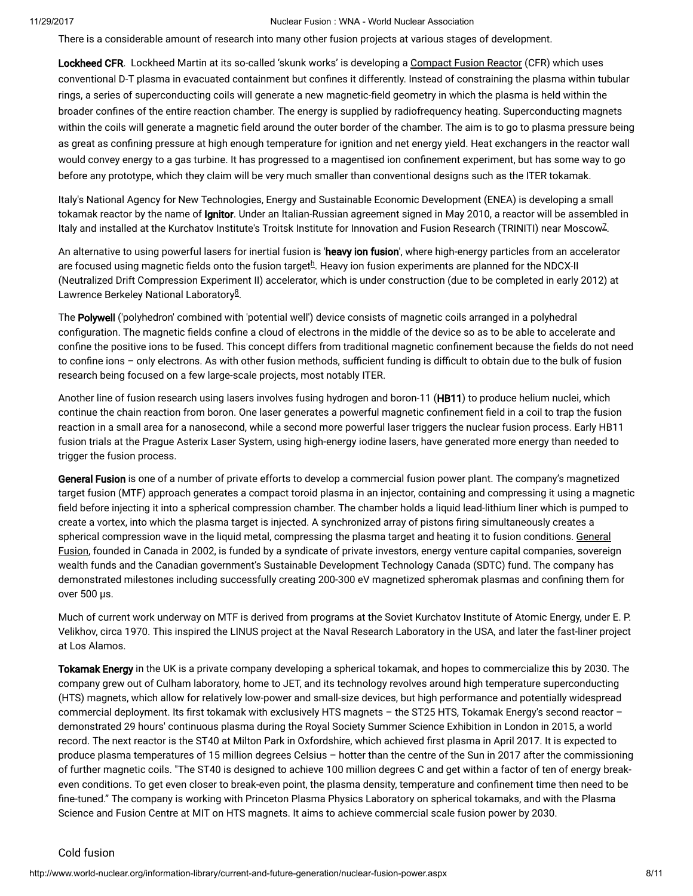There is a considerable amount of research into many other fusion projects at various stages of development.

Lockheed CFR. Lockheed Martin at its so-called 'skunk works' is developing a [Compact](http://www.lockheedmartin.com/us/products/compact-fusion.html) Fusion Reactor (CFR) which uses conventional D-T plasma in evacuated containment but confines it differently. Instead of constraining the plasma within tubular rings, a series of superconducting coils will generate a new magnetic-field geometry in which the plasma is held within the broader confines of the entire reaction chamber. The energy is supplied by radiofrequency heating. Superconducting magnets within the coils will generate a magnetic field around the outer border of the chamber. The aim is to go to plasma pressure being as great as confining pressure at high enough temperature for ignition and net energy yield. Heat exchangers in the reactor wall would convey energy to a gas turbine. It has progressed to a magentised ion confinement experiment, but has some way to go before any prototype, which they claim will be very much smaller than conventional designs such as the ITER tokamak.

Italy's National Agency for New Technologies, Energy and Sustainable Economic Development (ENEA) is developing a small tokamak reactor by the name of Ignitor. Under an Italian-Russian agreement signed in May 2010, a reactor will be assembled in ltaly and installed at the Kurchatov Institute's Troitsk Institute for Innovation and Fusion Research (TRINITI) near Moscow<sup>[7](#page-9-0)</sup>.

<span id="page-7-1"></span><span id="page-7-0"></span>An alternative to using powerful lasers for inertial fusion is 'heavy ion fusion', where high-energy particles from an accelerator are focused using magnetic fields onto t[h](#page-8-0)e fusion target $^{\underline{h}}$ . Heavy ion fusion experiments are planned for the NDCX-II (Neutralized Drift Compression Experiment II) accelerator, which is under construction (due to be completed in early 2012) at Lawrence Berkeley National Laboratory<sup>[8](#page-9-0)</sup>.

<span id="page-7-2"></span>The Polywell ('polyhedron' combined with 'potential well') device consists of magnetic coils arranged in a polyhedral configuration. The magnetic fields confine a cloud of electrons in the middle of the device so as to be able to accelerate and confine the positive ions to be fused. This concept differs from traditional magnetic confinement because the fields do not need to confine ions – only electrons. As with other fusion methods, sufficient funding is difficult to obtain due to the bulk of fusion research being focused on a few large-scale projects, most notably ITER.

Another line of fusion research using lasers involves fusing hydrogen and boron-11 (HB11) to produce helium nuclei, which continue the chain reaction from boron. One laser generates a powerful magnetic confinement field in a coil to trap the fusion reaction in a small area for a nanosecond, while a second more powerful laser triggers the nuclear fusion process. Early HB11 fusion trials at the Prague Asterix Laser System, using high-energy iodine lasers, have generated more energy than needed to trigger the fusion process.

General Fusion is one of a number of private efforts to develop a commercial fusion power plant. The company's magnetized target fusion (MTF) approach generates a compact toroid plasma in an injector, containing and compressing it using a magnetic field before injecting it into a spherical compression chamber. The chamber holds a liquid lead-lithium liner which is pumped to create a vortex, into which the plasma target is injected. A synchronized array of pistons ring simultaneously creates a spherical [compression](http://www.generalfusion.com/) wave in the liquid metal, compressing the plasma target and heating it to fusion conditions. General Fusion, founded in Canada in 2002, is funded by a syndicate of private investors, energy venture capital companies, sovereign wealth funds and the Canadian government's Sustainable Development Technology Canada (SDTC) fund. The company has demonstrated milestones including successfully creating 200-300 eV magnetized spheromak plasmas and confining them for over 500 µs.

Much of current work underway on MTF is derived from programs at the Soviet Kurchatov Institute of Atomic Energy, under E. P. Velikhov, circa 1970. This inspired the LINUS project at the Naval Research Laboratory in the USA, and later the fast-liner project at Los Alamos.

Tokamak Energy in the UK is a private company developing a spherical tokamak, and hopes to commercialize this by 2030. The company grew out of Culham laboratory, home to JET, and its technology revolves around high temperature superconducting (HTS) magnets, which allow for relatively low-power and small-size devices, but high performance and potentially widespread commercial deployment. Its first tokamak with exclusively HTS magnets – the ST25 HTS, Tokamak Energy's second reactor – demonstrated 29 hours' continuous plasma during the Royal Society Summer Science Exhibition in London in 2015, a world record. The next reactor is the ST40 at Milton Park in Oxfordshire, which achieved first plasma in April 2017. It is expected to produce plasma temperatures of 15 million degrees Celsius – hotter than the centre of the Sun in 2017 after the commissioning of further magnetic coils. "The ST40 is designed to achieve 100 million degrees C and get within a factor of ten of energy breakeven conditions. To get even closer to break-even point, the plasma density, temperature and confinement time then need to be fine-tuned." The company is working with Princeton Plasma Physics Laboratory on spherical tokamaks, and with the Plasma Science and Fusion Centre at MIT on HTS magnets. It aims to achieve commercial scale fusion power by 2030.

Cold fusion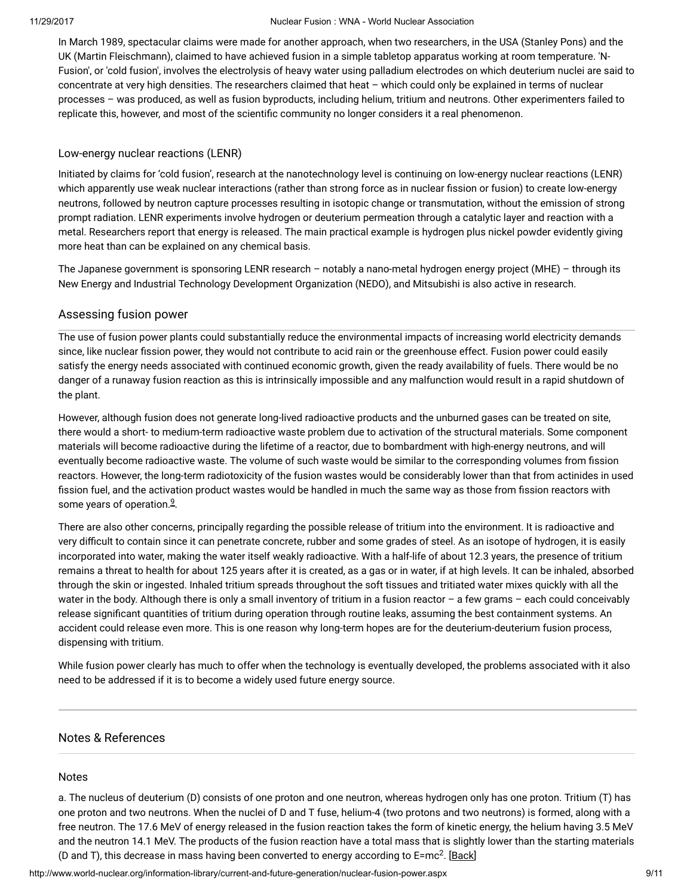In March 1989, spectacular claims were made for another approach, when two researchers, in the USA (Stanley Pons) and the UK (Martin Fleischmann), claimed to have achieved fusion in a simple tabletop apparatus working at room temperature. 'N-Fusion', or 'cold fusion', involves the electrolysis of heavy water using palladium electrodes on which deuterium nuclei are said to concentrate at very high densities. The researchers claimed that heat – which could only be explained in terms of nuclear processes – was produced, as well as fusion byproducts, including helium, tritium and neutrons. Other experimenters failed to replicate this, however, and most of the scientific community no longer considers it a real phenomenon.

# Low-energy nuclear reactions (LENR)

Initiated by claims for 'cold fusion', research at the nanotechnology level is continuing on low-energy nuclear reactions (LENR) which apparently use weak nuclear interactions (rather than strong force as in nuclear fission or fusion) to create low-energy neutrons, followed by neutron capture processes resulting in isotopic change or transmutation, without the emission of strong prompt radiation. LENR experiments involve hydrogen or deuterium permeation through a catalytic layer and reaction with a metal. Researchers report that energy is released. The main practical example is hydrogen plus nickel powder evidently giving more heat than can be explained on any chemical basis.

The Japanese government is sponsoring LENR research – notably a nano-metal hydrogen energy project (MHE) – through its New Energy and Industrial Technology Development Organization (NEDO), and Mitsubishi is also active in research.

# Assessing fusion power

The use of fusion power plants could substantially reduce the environmental impacts of increasing world electricity demands since, like nuclear fission power, they would not contribute to acid rain or the greenhouse effect. Fusion power could easily satisfy the energy needs associated with continued economic growth, given the ready availability of fuels. There would be no danger of a runaway fusion reaction as this is intrinsically impossible and any malfunction would result in a rapid shutdown of the plant.

However, although fusion does not generate long-lived radioactive products and the unburned gases can be treated on site, there would a short- to medium-term radioactive waste problem due to activation of the structural materials. Some component materials will become radioactive during the lifetime of a reactor, due to bombardment with high-energy neutrons, and will eventually become radioactive waste. The volume of such waste would be similar to the corresponding volumes from fission reactors. However, the long-term radiotoxicity of the fusion wastes would be considerably lower than that from actinides in used fission fuel, and the activation product wastes would be handled in much the same way as those from fission reactors with some years of operation.<sup>[9](#page-9-0)</sup>.

<span id="page-8-1"></span>There are also other concerns, principally regarding the possible release of tritium into the environment. It is radioactive and very difficult to contain since it can penetrate concrete, rubber and some grades of steel. As an isotope of hydrogen, it is easily incorporated into water, making the water itself weakly radioactive. With a half-life of about 12.3 years, the presence of tritium remains a threat to health for about 125 years after it is created, as a gas or in water, if at high levels. It can be inhaled, absorbed through the skin or ingested. Inhaled tritium spreads throughout the soft tissues and tritiated water mixes quickly with all the water in the body. Although there is only a small inventory of tritium in a fusion reactor – a few grams – each could conceivably release significant quantities of tritium during operation through routine leaks, assuming the best containment systems. An accident could release even more. This is one reason why long-term hopes are for the deuterium-deuterium fusion process, dispensing with tritium.

While fusion power clearly has much to offer when the technology is eventually developed, the problems associated with it also need to be addressed if it is to become a widely used future energy source.

# Notes & References

# <span id="page-8-0"></span>Notes

a. The nucleus of deuterium (D) consists of one proton and one neutron, whereas hydrogen only has one proton. Tritium (T) has one proton and two neutrons. When the nuclei of D and T fuse, helium-4 (two protons and two neutrons) is formed, along with a free neutron. The 17.6 MeV of energy released in the fusion reaction takes the form of kinetic energy, the helium having 3.5 MeV and the neutron 14.1 MeV. The products of the fusion reaction have a total mass that is slightly lower than the starting materials (D and T), this decrease in mass having been converted to energy according to E=mc<sup>2</sup>. [\[Back\]](#page-0-0)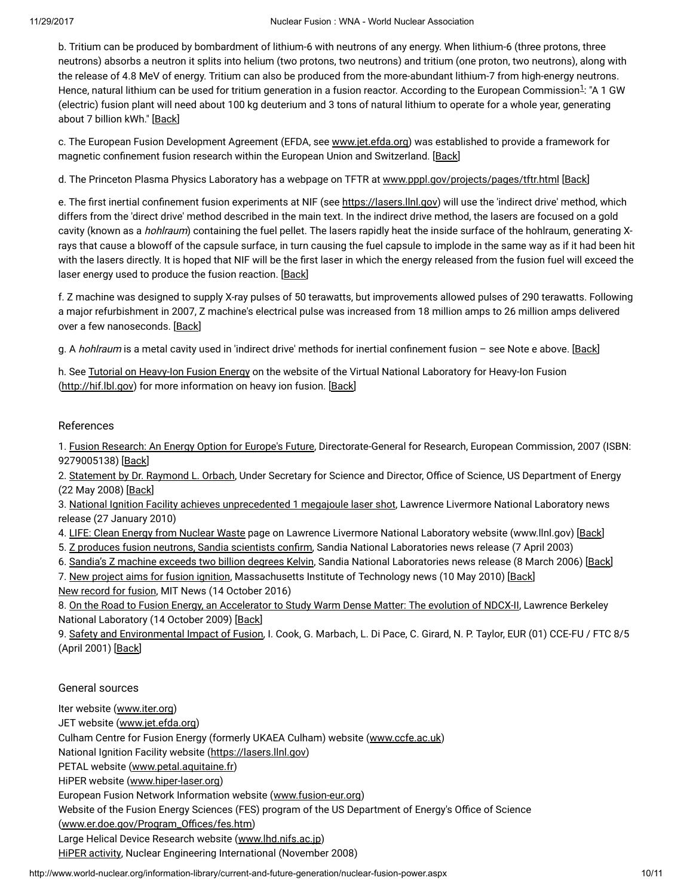<span id="page-9-1"></span>b. Tritium can be produced by bombardment of lithium-6 with neutrons of any energy. When lithium-6 (three protons, three neutrons) absorbs a neutron it splits into helium (two protons, two neutrons) and tritium (one proton, two neutrons), along with the release of 4.8 MeV of energy. Tritium can also be produced from the more-abundant lithium-7 from high-energy neutrons. Hence, natural lithium can be used for tritium generation in a fusion reactor. According to the European Commission<sup>[1](#page-9-0)</sup>: "A 1 GW (electric) fusion plant will need about 100 kg deuterium and 3 tons of natural lithium to operate for a whole year, generating about 7 billion kWh." [[Back](#page-0-1)]

c. The European Fusion Development Agreement (EFDA, see [www.jet.efda.org](http://www.jet.efda.org/efda/)) was established to provide a framework for magnetic confinement fusion research within the European Union and Switzerland. [\[Back\]](#page-4-0)

d. The Princeton Plasma Physics Laboratory has a webpage on TFTR at [www.pppl.gov/projects/pages/tftr.html](http://www.pppl.gov/projects/pages/tftr.html) [\[Back\]](#page-5-0)

e. The first inertial confinement fusion experiments at NIF (see [https://lasers.llnl.gov\)](https://lasers.llnl.gov/) will use the 'indirect drive' method, which differs from the 'direct drive' method described in the main text. In the indirect drive method, the lasers are focused on a gold cavity (known as a *hohlraum*) containing the fuel pellet. The lasers rapidly heat the inside surface of the hohlraum, generating Xrays that cause a blowoff of the capsule surface, in turn causing the fuel capsule to implode in the same way as if it had been hit with the lasers directly. It is hoped that NIF will be the first laser in which the energy released from the fusion fuel will exceed the laser energy used to produce the fusion reaction. [[Back](#page-6-0)]

f. Z machine was designed to supply X-ray pulses of 50 terawatts, but improvements allowed pulses of 290 terawatts. Following a major refurbishment in 2007, Z machine's electrical pulse was increased from 18 million amps to 26 million amps delivered over a few nanoseconds. [[Back](#page-6-1)]

g. A hohlraum is a metal cavity used in 'indirect drive' methods for inertial confinement fusion - see Note e above. [\[Back\]](#page-6-2)

h. See Tutorial on [Heavy-Ion](http://hif.lbl.gov/tutorial/tutorial.html) Fusion Energy on the website of the Virtual National Laboratory for Heavy-Ion Fusion [\(http://hif.lbl.gov\)](http://hif.lbl.gov/) for more information on heavy ion fusion. [[Back](#page-7-0)]

# <span id="page-9-0"></span>References

1. Fusion [Research:](http://ec.europa.eu/research/energy/pdf/92-79-00513-8_en.pdf) An Energy Option for Europe's Future, Directorate-General for Research, European Commission, 2007 (ISBN: 9279005138) [[Back\]](#page-9-1)

2. [Statement](http://ncsx.pppl.gov/DOE_NCSX_052208.pdf) by Dr. Raymond L. Orbach, Under Secretary for Science and Director, Office of Science, US Department of Energy (22 May 2008) [\[Back\]](#page-3-0)

3. National Ignition Facility achieves [unprecedented](https://publicaffairs.llnl.gov/news/news_releases/2010/nnsa/NR-NNSA-10-01-02.html) 1 megajoule laser shot, Lawrence Livermore National Laboratory news release (27 January 2010)

4. LIFE: Clean Energy from [Nuclear](https://lasers.llnl.gov/about/missions/energy_for_the_future/life/index.php) Waste page on Lawrence Livermore National Laboratory website (www.llnl.gov) [\[Back\]](#page-6-3)

5. Z produces fusion neutrons, Sandia [scientists](http://www.sandia.gov/news-center/news-releases/2003/nuclear-power/Zneutrons.html) confirm, Sandia National Laboratories news release (7 April 2003)

6. Sandia's Z [machine](http://www.sandia.gov/news-center/news-releases/2006/physics-astron/hottest-z-output.html) exceeds two billion degrees Kelvin, Sandia National Laboratories news release (8 March 2006) [[Back\]](#page-6-4)

7. New project aims for fusion [ignition,](http://web.mit.edu/newsoffice/2010/fusion-ignition-0510.html) Massachusetts Institute of Technology news (10 May 2010) [[Back\]](#page-7-1) New [record](http://news.mit.edu/2016/alcator-c-mod-tokamak-nuclear-fusion-world-record-1014) for fusion, MIT News (14 October 2016)

8. On the Road to Fusion Energy, an [Accelerator](http://newscenter.lbl.gov/feature-stories/2009/10/14/warm-dense-matter/) to Study Warm Dense Matter: The evolution of NDCX-II, Lawrence Berkeley National Laboratory (14 October 2009) [[Back\]](#page-7-2)

9. Safety and [Environmental](http://www.efda.org/eu_fusion_programme/downloads/scientific_and_technical_publications/SEIF_report_25Apr01.pdf) Impact of Fusion, I. Cook, G. Marbach, L. Di Pace, C. Girard, N. P. Taylor, EUR (01) CCE-FU / FTC 8/5 (April 2001) [\[Back\]](#page-8-1)

# General sources

Iter website [\(www.iter.org\)](http://www.iter.org/default.aspx)

JET website ([www.jet.efda.org](http://www.jet.efda.org/))

Culham Centre for Fusion Energy (formerly UKAEA Culham) website ([www.ccfe.ac.uk\)](http://www.ccfe.ac.uk/)

National Ignition Facility website [\(https://lasers.llnl.gov](https://lasers.llnl.gov/))

PETAL website ([www.petal.aquitaine.fr\)](http://www.petal.aquitaine.fr/spip.php?lang=en)

HiPER website [\(www.hiper-laser.org](http://www.hiper-laser.org/))

European Fusion Network Information website ([www.fusion-eur.org](http://www.fusion-eur.org/))

Website of the Fusion Energy Sciences (FES) program of the US Department of Energy's Office of Science

(www.er.doe.gov/Program\_Offices/fes.htm)

Large Helical Device Research website [\(www.lhd.nifs.ac.jp\)](http://www.lhd.nifs.ac.jp/en/)

HiPER [activity](http://www.neimagazine.com/story.asp?storyCode=2051538), Nuclear Engineering International (November 2008)